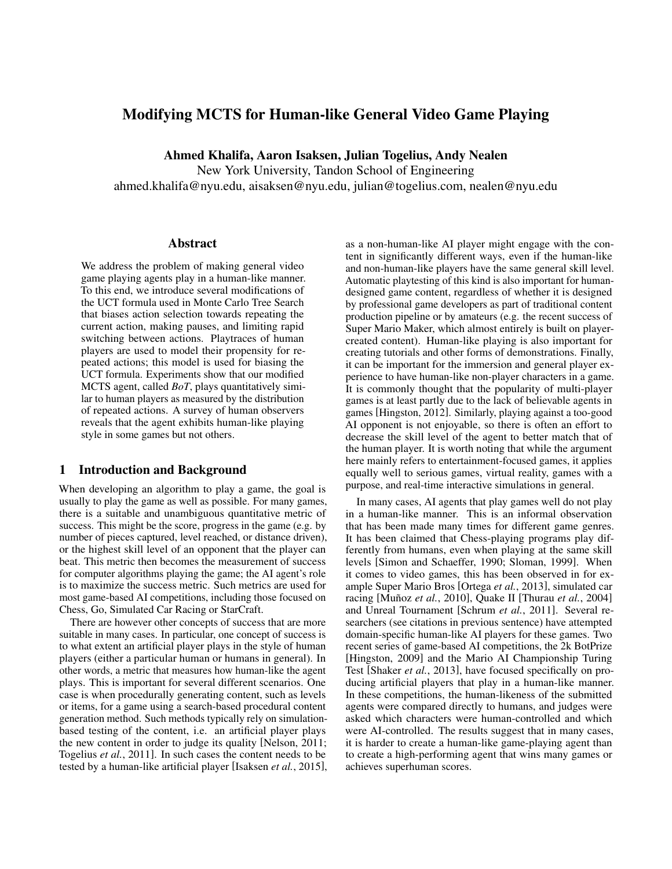# Modifying MCTS for Human-like General Video Game Playing

Ahmed Khalifa, Aaron Isaksen, Julian Togelius, Andy Nealen

New York University, Tandon School of Engineering

ahmed.khalifa@nyu.edu, aisaksen@nyu.edu, julian@togelius.com, nealen@nyu.edu

#### Abstract

We address the problem of making general video game playing agents play in a human-like manner. To this end, we introduce several modifications of the UCT formula used in Monte Carlo Tree Search that biases action selection towards repeating the current action, making pauses, and limiting rapid switching between actions. Playtraces of human players are used to model their propensity for repeated actions; this model is used for biasing the UCT formula. Experiments show that our modified MCTS agent, called *BoT*, plays quantitatively similar to human players as measured by the distribution of repeated actions. A survey of human observers reveals that the agent exhibits human-like playing style in some games but not others.

## 1 Introduction and Background

When developing an algorithm to play a game, the goal is usually to play the game as well as possible. For many games, there is a suitable and unambiguous quantitative metric of success. This might be the score, progress in the game (e.g. by number of pieces captured, level reached, or distance driven), or the highest skill level of an opponent that the player can beat. This metric then becomes the measurement of success for computer algorithms playing the game; the AI agent's role is to maximize the success metric. Such metrics are used for most game-based AI competitions, including those focused on Chess, Go, Simulated Car Racing or StarCraft.

There are however other concepts of success that are more suitable in many cases. In particular, one concept of success is to what extent an artificial player plays in the style of human players (either a particular human or humans in general). In other words, a metric that measures how human-like the agent plays. This is important for several different scenarios. One case is when procedurally generating content, such as levels or items, for a game using a search-based procedural content generation method. Such methods typically rely on simulationbased testing of the content, i.e. an artificial player plays the new content in order to judge its quality [Nelson, 2011; Togelius *et al.*, 2011]. In such cases the content needs to be tested by a human-like artificial player [Isaksen *et al.*, 2015], as a non-human-like AI player might engage with the content in significantly different ways, even if the human-like and non-human-like players have the same general skill level. Automatic playtesting of this kind is also important for humandesigned game content, regardless of whether it is designed by professional game developers as part of traditional content production pipeline or by amateurs (e.g. the recent success of Super Mario Maker, which almost entirely is built on playercreated content). Human-like playing is also important for creating tutorials and other forms of demonstrations. Finally, it can be important for the immersion and general player experience to have human-like non-player characters in a game. It is commonly thought that the popularity of multi-player games is at least partly due to the lack of believable agents in games [Hingston, 2012]. Similarly, playing against a too-good AI opponent is not enjoyable, so there is often an effort to decrease the skill level of the agent to better match that of the human player. It is worth noting that while the argument here mainly refers to entertainment-focused games, it applies equally well to serious games, virtual reality, games with a purpose, and real-time interactive simulations in general.

In many cases, AI agents that play games well do not play in a human-like manner. This is an informal observation that has been made many times for different game genres. It has been claimed that Chess-playing programs play differently from humans, even when playing at the same skill levels [Simon and Schaeffer, 1990; Sloman, 1999]. When it comes to video games, this has been observed in for example Super Mario Bros [Ortega *et al.*, 2013], simulated car racing [Muñoz et al., 2010], Quake II [Thurau et al., 2004] and Unreal Tournament [Schrum *et al.*, 2011]. Several researchers (see citations in previous sentence) have attempted domain-specific human-like AI players for these games. Two recent series of game-based AI competitions, the 2k BotPrize [Hingston, 2009] and the Mario AI Championship Turing Test [Shaker *et al.*, 2013], have focused specifically on producing artificial players that play in a human-like manner. In these competitions, the human-likeness of the submitted agents were compared directly to humans, and judges were asked which characters were human-controlled and which were AI-controlled. The results suggest that in many cases, it is harder to create a human-like game-playing agent than to create a high-performing agent that wins many games or achieves superhuman scores.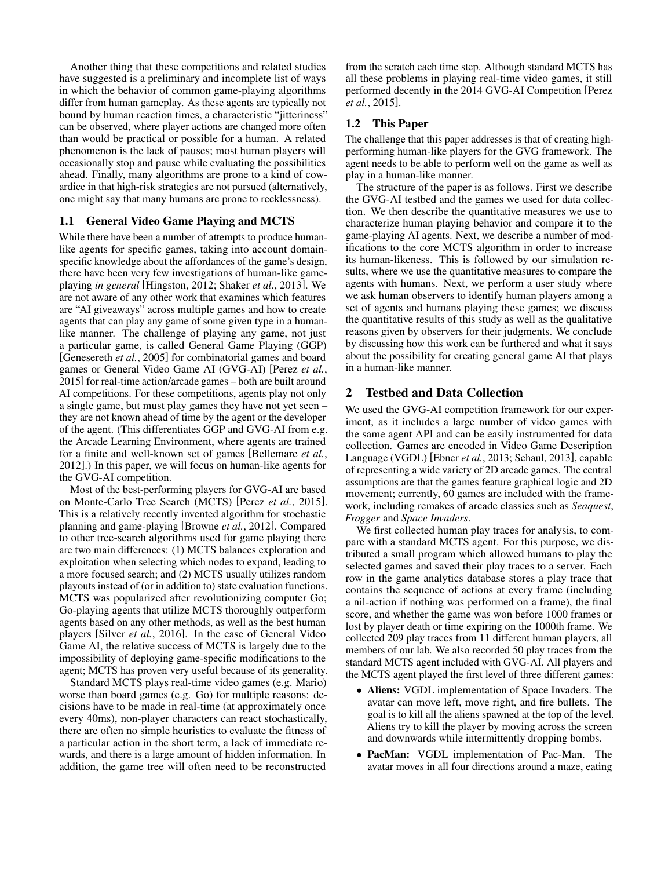Another thing that these competitions and related studies have suggested is a preliminary and incomplete list of ways in which the behavior of common game-playing algorithms differ from human gameplay. As these agents are typically not bound by human reaction times, a characteristic "jitteriness" can be observed, where player actions are changed more often than would be practical or possible for a human. A related phenomenon is the lack of pauses; most human players will occasionally stop and pause while evaluating the possibilities ahead. Finally, many algorithms are prone to a kind of cowardice in that high-risk strategies are not pursued (alternatively, one might say that many humans are prone to recklessness).

### 1.1 General Video Game Playing and MCTS

While there have been a number of attempts to produce humanlike agents for specific games, taking into account domainspecific knowledge about the affordances of the game's design, there have been very few investigations of human-like gameplaying *in general* [Hingston, 2012; Shaker *et al.*, 2013]. We are not aware of any other work that examines which features are "AI giveaways" across multiple games and how to create agents that can play any game of some given type in a humanlike manner. The challenge of playing any game, not just a particular game, is called General Game Playing (GGP) [Genesereth *et al.*, 2005] for combinatorial games and board games or General Video Game AI (GVG-AI) [Perez *et al.*, 2015] for real-time action/arcade games – both are built around AI competitions. For these competitions, agents play not only a single game, but must play games they have not yet seen – they are not known ahead of time by the agent or the developer of the agent. (This differentiates GGP and GVG-AI from e.g. the Arcade Learning Environment, where agents are trained for a finite and well-known set of games [Bellemare *et al.*, 2012].) In this paper, we will focus on human-like agents for the GVG-AI competition.

Most of the best-performing players for GVG-AI are based on Monte-Carlo Tree Search (MCTS) [Perez *et al.*, 2015]. This is a relatively recently invented algorithm for stochastic planning and game-playing [Browne *et al.*, 2012]. Compared to other tree-search algorithms used for game playing there are two main differences: (1) MCTS balances exploration and exploitation when selecting which nodes to expand, leading to a more focused search; and (2) MCTS usually utilizes random playouts instead of (or in addition to) state evaluation functions. MCTS was popularized after revolutionizing computer Go; Go-playing agents that utilize MCTS thoroughly outperform agents based on any other methods, as well as the best human players [Silver *et al.*, 2016]. In the case of General Video Game AI, the relative success of MCTS is largely due to the impossibility of deploying game-specific modifications to the agent; MCTS has proven very useful because of its generality.

Standard MCTS plays real-time video games (e.g. Mario) worse than board games (e.g. Go) for multiple reasons: decisions have to be made in real-time (at approximately once every 40ms), non-player characters can react stochastically, there are often no simple heuristics to evaluate the fitness of a particular action in the short term, a lack of immediate rewards, and there is a large amount of hidden information. In addition, the game tree will often need to be reconstructed

from the scratch each time step. Although standard MCTS has all these problems in playing real-time video games, it still performed decently in the 2014 GVG-AI Competition [Perez *et al.*, 2015].

## 1.2 This Paper

The challenge that this paper addresses is that of creating highperforming human-like players for the GVG framework. The agent needs to be able to perform well on the game as well as play in a human-like manner.

The structure of the paper is as follows. First we describe the GVG-AI testbed and the games we used for data collection. We then describe the quantitative measures we use to characterize human playing behavior and compare it to the game-playing AI agents. Next, we describe a number of modifications to the core MCTS algorithm in order to increase its human-likeness. This is followed by our simulation results, where we use the quantitative measures to compare the agents with humans. Next, we perform a user study where we ask human observers to identify human players among a set of agents and humans playing these games; we discuss the quantitative results of this study as well as the qualitative reasons given by observers for their judgments. We conclude by discussing how this work can be furthered and what it says about the possibility for creating general game AI that plays in a human-like manner.

## 2 Testbed and Data Collection

We used the GVG-AI competition framework for our experiment, as it includes a large number of video games with the same agent API and can be easily instrumented for data collection. Games are encoded in Video Game Description Language (VGDL) [Ebner *et al.*, 2013; Schaul, 2013], capable of representing a wide variety of 2D arcade games. The central assumptions are that the games feature graphical logic and 2D movement; currently, 60 games are included with the framework, including remakes of arcade classics such as *Seaquest*, *Frogger* and *Space Invaders*.

We first collected human play traces for analysis, to compare with a standard MCTS agent. For this purpose, we distributed a small program which allowed humans to play the selected games and saved their play traces to a server. Each row in the game analytics database stores a play trace that contains the sequence of actions at every frame (including a nil-action if nothing was performed on a frame), the final score, and whether the game was won before 1000 frames or lost by player death or time expiring on the 1000th frame. We collected 209 play traces from 11 different human players, all members of our lab. We also recorded 50 play traces from the standard MCTS agent included with GVG-AI. All players and the MCTS agent played the first level of three different games:

- Aliens: VGDL implementation of Space Invaders. The avatar can move left, move right, and fire bullets. The goal is to kill all the aliens spawned at the top of the level. Aliens try to kill the player by moving across the screen and downwards while intermittently dropping bombs.
- PacMan: VGDL implementation of Pac-Man. The avatar moves in all four directions around a maze, eating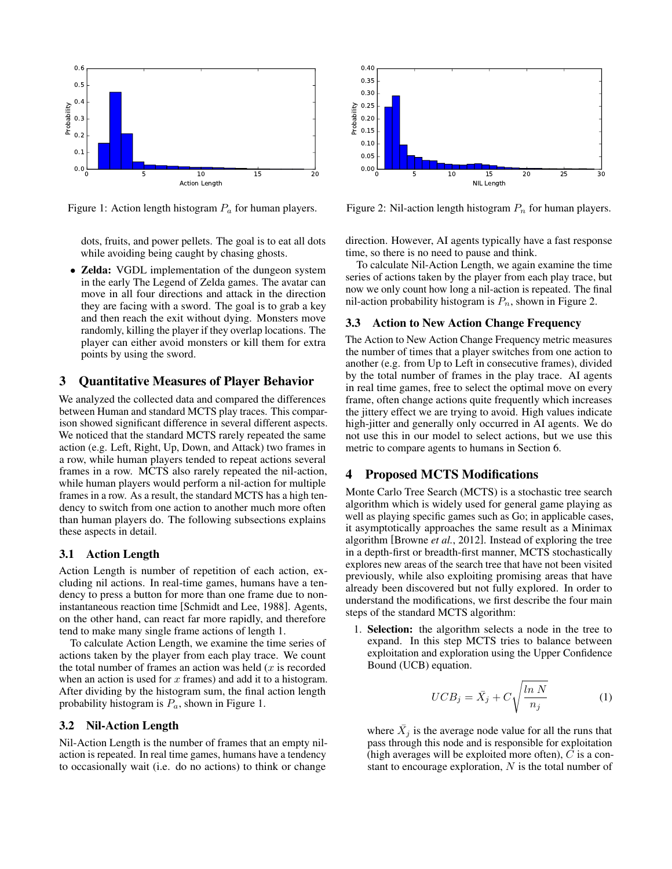

Figure 1: Action length histogram  $P_a$  for human players.

dots, fruits, and power pellets. The goal is to eat all dots while avoiding being caught by chasing ghosts.

• Zelda: VGDL implementation of the dungeon system in the early The Legend of Zelda games. The avatar can move in all four directions and attack in the direction they are facing with a sword. The goal is to grab a key and then reach the exit without dying. Monsters move randomly, killing the player if they overlap locations. The player can either avoid monsters or kill them for extra points by using the sword.

## 3 Quantitative Measures of Player Behavior

We analyzed the collected data and compared the differences between Human and standard MCTS play traces. This comparison showed significant difference in several different aspects. We noticed that the standard MCTS rarely repeated the same action (e.g. Left, Right, Up, Down, and Attack) two frames in a row, while human players tended to repeat actions several frames in a row. MCTS also rarely repeated the nil-action, while human players would perform a nil-action for multiple frames in a row. As a result, the standard MCTS has a high tendency to switch from one action to another much more often than human players do. The following subsections explains these aspects in detail.

### 3.1 Action Length

Action Length is number of repetition of each action, excluding nil actions. In real-time games, humans have a tendency to press a button for more than one frame due to noninstantaneous reaction time [Schmidt and Lee, 1988]. Agents, on the other hand, can react far more rapidly, and therefore tend to make many single frame actions of length 1.

To calculate Action Length, we examine the time series of actions taken by the player from each play trace. We count the total number of frames an action was held  $(x)$  is recorded when an action is used for  $x$  frames) and add it to a histogram. After dividing by the histogram sum, the final action length probability histogram is  $P_a$ , shown in Figure 1.

#### 3.2 Nil-Action Length

Nil-Action Length is the number of frames that an empty nilaction is repeated. In real time games, humans have a tendency to occasionally wait (i.e. do no actions) to think or change



Figure 2: Nil-action length histogram  $P_n$  for human players.

direction. However, AI agents typically have a fast response time, so there is no need to pause and think.

To calculate Nil-Action Length, we again examine the time series of actions taken by the player from each play trace, but now we only count how long a nil-action is repeated. The final nil-action probability histogram is  $P_n$ , shown in Figure 2.

#### 3.3 Action to New Action Change Frequency

The Action to New Action Change Frequency metric measures the number of times that a player switches from one action to another (e.g. from Up to Left in consecutive frames), divided by the total number of frames in the play trace. AI agents in real time games, free to select the optimal move on every frame, often change actions quite frequently which increases the jittery effect we are trying to avoid. High values indicate high-jitter and generally only occurred in AI agents. We do not use this in our model to select actions, but we use this metric to compare agents to humans in Section 6.

## 4 Proposed MCTS Modifications

Monte Carlo Tree Search (MCTS) is a stochastic tree search algorithm which is widely used for general game playing as well as playing specific games such as Go; in applicable cases, it asymptotically approaches the same result as a Minimax algorithm [Browne *et al.*, 2012]. Instead of exploring the tree in a depth-first or breadth-first manner, MCTS stochastically explores new areas of the search tree that have not been visited previously, while also exploiting promising areas that have already been discovered but not fully explored. In order to understand the modifications, we first describe the four main steps of the standard MCTS algorithm:

1. Selection: the algorithm selects a node in the tree to expand. In this step MCTS tries to balance between exploitation and exploration using the Upper Confidence Bound (UCB) equation.

$$
UCB_j = \bar{X}_j + C \sqrt{\frac{\ln N}{n_j}} \tag{1}
$$

where  $\bar{X}_j$  is the average node value for all the runs that pass through this node and is responsible for exploitation (high averages will be exploited more often),  $C$  is a constant to encourage exploration,  $N$  is the total number of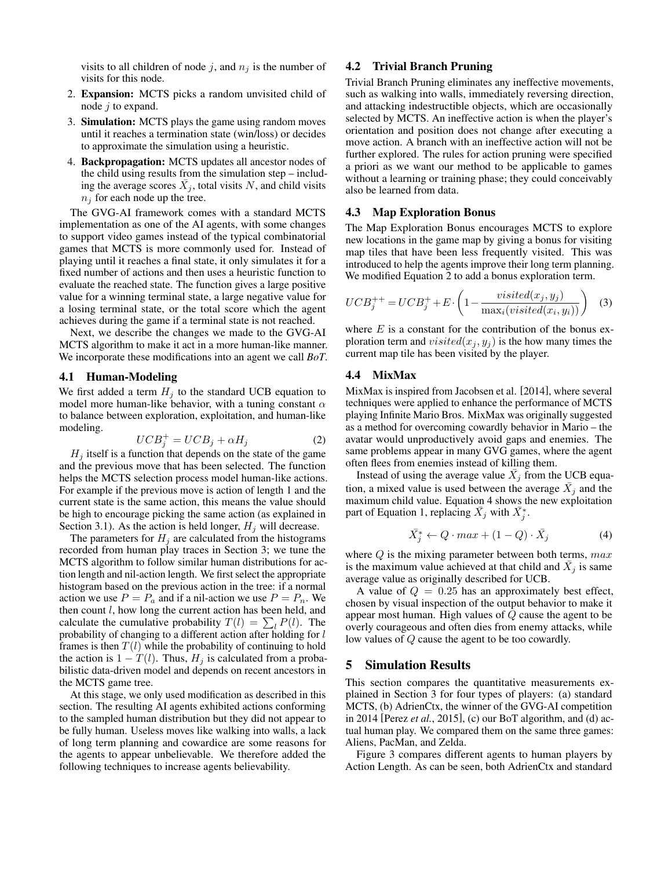visits to all children of node j, and  $n_i$  is the number of visits for this node.

- 2. Expansion: MCTS picks a random unvisited child of node j to expand.
- 3. Simulation: MCTS plays the game using random moves until it reaches a termination state (win/loss) or decides to approximate the simulation using a heuristic.
- 4. Backpropagation: MCTS updates all ancestor nodes of the child using results from the simulation step – including the average scores  $\bar{X}_j$ , total visits N, and child visits  $n_j$  for each node up the tree.

The GVG-AI framework comes with a standard MCTS implementation as one of the AI agents, with some changes to support video games instead of the typical combinatorial games that MCTS is more commonly used for. Instead of playing until it reaches a final state, it only simulates it for a fixed number of actions and then uses a heuristic function to evaluate the reached state. The function gives a large positive value for a winning terminal state, a large negative value for a losing terminal state, or the total score which the agent achieves during the game if a terminal state is not reached.

Next, we describe the changes we made to the GVG-AI MCTS algorithm to make it act in a more human-like manner. We incorporate these modifications into an agent we call *BoT*.

#### 4.1 Human-Modeling

We first added a term  $H_i$  to the standard UCB equation to model more human-like behavior, with a tuning constant  $\alpha$ to balance between exploration, exploitation, and human-like modeling.

$$
UCB_j^+ = UCB_j + \alpha H_j \tag{2}
$$

 $H_i$  itself is a function that depends on the state of the game and the previous move that has been selected. The function helps the MCTS selection process model human-like actions. For example if the previous move is action of length 1 and the current state is the same action, this means the value should be high to encourage picking the same action (as explained in Section 3.1). As the action is held longer,  $H_i$  will decrease.

The parameters for  $H_i$  are calculated from the histograms recorded from human play traces in Section 3; we tune the MCTS algorithm to follow similar human distributions for action length and nil-action length. We first select the appropriate histogram based on the previous action in the tree: if a normal action we use  $P = P_a$  and if a nil-action we use  $P = P_n$ . We then count l, how long the current action has been held, and calculate the cumulative probability  $T(l) = \sum_l P(l)$ . The probability of changing to a different action after holding for l frames is then  $T(l)$  while the probability of continuing to hold the action is  $1 - T(l)$ . Thus,  $H<sub>i</sub>$  is calculated from a probabilistic data-driven model and depends on recent ancestors in the MCTS game tree.

At this stage, we only used modification as described in this section. The resulting AI agents exhibited actions conforming to the sampled human distribution but they did not appear to be fully human. Useless moves like walking into walls, a lack of long term planning and cowardice are some reasons for the agents to appear unbelievable. We therefore added the following techniques to increase agents believability.

### 4.2 Trivial Branch Pruning

Trivial Branch Pruning eliminates any ineffective movements, such as walking into walls, immediately reversing direction, and attacking indestructible objects, which are occasionally selected by MCTS. An ineffective action is when the player's orientation and position does not change after executing a move action. A branch with an ineffective action will not be further explored. The rules for action pruning were specified a priori as we want our method to be applicable to games without a learning or training phase; they could conceivably also be learned from data.

#### 4.3 Map Exploration Bonus

The Map Exploration Bonus encourages MCTS to explore new locations in the game map by giving a bonus for visiting map tiles that have been less frequently visited. This was introduced to help the agents improve their long term planning. We modified Equation 2 to add a bonus exploration term.

$$
UCB_j^{++} = UCB_j^+ + E \cdot \left(1 - \frac{visited(x_j, y_j)}{\max_i(visited(x_i, y_i))}\right) \quad (3)
$$

where  $E$  is a constant for the contribution of the bonus exploration term and  $visited(x_j, y_j)$  is the how many times the current map tile has been visited by the player.

#### 4.4 MixMax

MixMax is inspired from Jacobsen et al. [2014], where several techniques were applied to enhance the performance of MCTS playing Infinite Mario Bros. MixMax was originally suggested as a method for overcoming cowardly behavior in Mario – the avatar would unproductively avoid gaps and enemies. The same problems appear in many GVG games, where the agent often flees from enemies instead of killing them.

Instead of using the average value  $\bar{X}_j$  from the UCB equation, a mixed value is used between the average  $\bar{X}_j$  and the maximum child value. Equation 4 shows the new exploitation part of Equation 1, replacing  $\bar{X}_j$  with  $\bar{X}_j^*$ .

$$
\bar{X}_j^* \leftarrow Q \cdot max + (1 - Q) \cdot \bar{X}_j \tag{4}
$$

where  $Q$  is the mixing parameter between both terms,  $max$ is the maximum value achieved at that child and  $\bar{X}_j$  is same average value as originally described for UCB.

A value of  $Q = 0.25$  has an approximately best effect, chosen by visual inspection of the output behavior to make it appear most human. High values of Q cause the agent to be overly courageous and often dies from enemy attacks, while low values of Q cause the agent to be too cowardly.

#### 5 Simulation Results

This section compares the quantitative measurements explained in Section 3 for four types of players: (a) standard MCTS, (b) AdrienCtx, the winner of the GVG-AI competition in 2014 [Perez *et al.*, 2015], (c) our BoT algorithm, and (d) actual human play. We compared them on the same three games: Aliens, PacMan, and Zelda.

Figure 3 compares different agents to human players by Action Length. As can be seen, both AdrienCtx and standard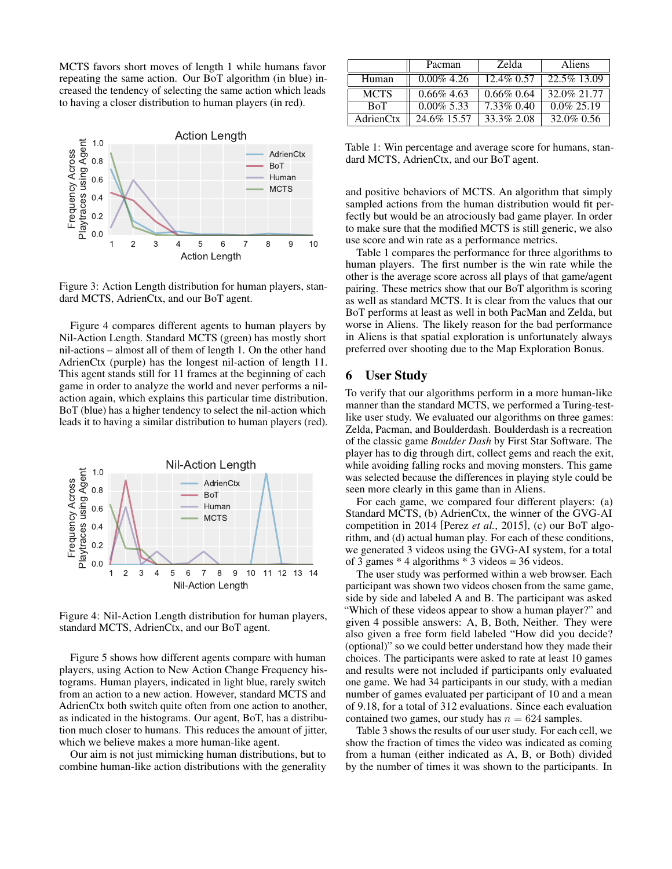MCTS favors short moves of length 1 while humans favor repeating the same action. Our BoT algorithm (in blue) increased the tendency of selecting the same action which leads to having a closer distribution to human players (in red).



Figure 3: Action Length distribution for human players, standard MCTS, AdrienCtx, and our BoT agent.

Figure 4 compares different agents to human players by Nil-Action Length. Standard MCTS (green) has mostly short nil-actions – almost all of them of length 1. On the other hand AdrienCtx (purple) has the longest nil-action of length 11. This agent stands still for 11 frames at the beginning of each game in order to analyze the world and never performs a nilaction again, which explains this particular time distribution. BoT (blue) has a higher tendency to select the nil-action which leads it to having a similar distribution to human players (red).



Figure 4: Nil-Action Length distribution for human players, standard MCTS, AdrienCtx, and our BoT agent.

Figure 5 shows how different agents compare with human players, using Action to New Action Change Frequency histograms. Human players, indicated in light blue, rarely switch from an action to a new action. However, standard MCTS and AdrienCtx both switch quite often from one action to another, as indicated in the histograms. Our agent, BoT, has a distribution much closer to humans. This reduces the amount of jitter, which we believe makes a more human-like agent.

Our aim is not just mimicking human distributions, but to combine human-like action distributions with the generality

|             | Pacman        | Zelda         | Aliens        |
|-------------|---------------|---------------|---------------|
| Human       | $0.00\%$ 4.26 | 12.4\% 0.57   | 22.5% 13.09   |
| <b>MCTS</b> | $0.66\%$ 4.63 | $0.66\%$ 0.64 | 32.0% 21.77   |
| <b>BoT</b>  | $0.00\%$ 5.33 | 7.33\% 0.40   | $0.0\%$ 25.19 |
| AdrienCtx   | 24.6% 15.57   | 33.3% 2.08    | 32.0% 0.56    |

Table 1: Win percentage and average score for humans, standard MCTS, AdrienCtx, and our BoT agent.

and positive behaviors of MCTS. An algorithm that simply sampled actions from the human distribution would fit perfectly but would be an atrociously bad game player. In order to make sure that the modified MCTS is still generic, we also use score and win rate as a performance metrics.

Table 1 compares the performance for three algorithms to human players. The first number is the win rate while the other is the average score across all plays of that game/agent pairing. These metrics show that our BoT algorithm is scoring as well as standard MCTS. It is clear from the values that our BoT performs at least as well in both PacMan and Zelda, but worse in Aliens. The likely reason for the bad performance in Aliens is that spatial exploration is unfortunately always preferred over shooting due to the Map Exploration Bonus.

## 6 User Study

To verify that our algorithms perform in a more human-like manner than the standard MCTS, we performed a Turing-testlike user study. We evaluated our algorithms on three games: Zelda, Pacman, and Boulderdash. Boulderdash is a recreation of the classic game *Boulder Dash* by First Star Software. The player has to dig through dirt, collect gems and reach the exit, while avoiding falling rocks and moving monsters. This game was selected because the differences in playing style could be seen more clearly in this game than in Aliens.

For each game, we compared four different players: (a) Standard MCTS, (b) AdrienCtx, the winner of the GVG-AI competition in 2014 [Perez *et al.*, 2015], (c) our BoT algorithm, and (d) actual human play. For each of these conditions, we generated 3 videos using the GVG-AI system, for a total of 3 games  $*$  4 algorithms  $*$  3 videos = 36 videos.

The user study was performed within a web browser. Each participant was shown two videos chosen from the same game, side by side and labeled A and B. The participant was asked "Which of these videos appear to show a human player?" and given 4 possible answers: A, B, Both, Neither. They were also given a free form field labeled "How did you decide? (optional)" so we could better understand how they made their choices. The participants were asked to rate at least 10 games and results were not included if participants only evaluated one game. We had 34 participants in our study, with a median number of games evaluated per participant of 10 and a mean of 9.18, for a total of 312 evaluations. Since each evaluation contained two games, our study has  $n = 624$  samples.

Table 3 shows the results of our user study. For each cell, we show the fraction of times the video was indicated as coming from a human (either indicated as A, B, or Both) divided by the number of times it was shown to the participants. In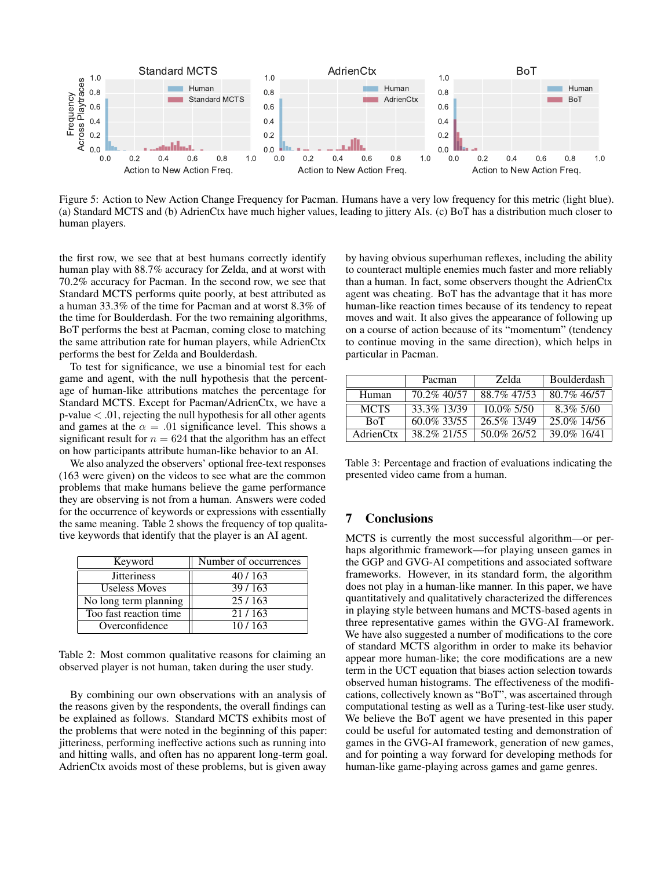

Figure 5: Action to New Action Change Frequency for Pacman. Humans have a very low frequency for this metric (light blue). (a) Standard MCTS and (b) AdrienCtx have much higher values, leading to jittery AIs. (c) BoT has a distribution much closer to human players.

the first row, we see that at best humans correctly identify human play with 88.7% accuracy for Zelda, and at worst with 70.2% accuracy for Pacman. In the second row, we see that Standard MCTS performs quite poorly, at best attributed as a human 33.3% of the time for Pacman and at worst 8.3% of the time for Boulderdash. For the two remaining algorithms, BoT performs the best at Pacman, coming close to matching the same attribution rate for human players, while AdrienCtx performs the best for Zelda and Boulderdash.

To test for significance, we use a binomial test for each game and agent, with the null hypothesis that the percentage of human-like attributions matches the percentage for Standard MCTS. Except for Pacman/AdrienCtx, we have a  $p$ -value  $\lt$  .01, rejecting the null hypothesis for all other agents and games at the  $\alpha = .01$  significance level. This shows a significant result for  $n = 624$  that the algorithm has an effect on how participants attribute human-like behavior to an AI.

We also analyzed the observers' optional free-text responses (163 were given) on the videos to see what are the common problems that make humans believe the game performance they are observing is not from a human. Answers were coded for the occurrence of keywords or expressions with essentially the same meaning. Table 2 shows the frequency of top qualitative keywords that identify that the player is an AI agent.

| Keyword                 | Number of occurrences |  |
|-------------------------|-----------------------|--|
| <b>Jitteriness</b>      | 40/163                |  |
| <b>Useless Moves</b>    | 39/163                |  |
| No long term planning   | 25/163                |  |
| Too fast reaction time. | 21/163                |  |
| Overconfidence          | 10/163                |  |

Table 2: Most common qualitative reasons for claiming an observed player is not human, taken during the user study.

By combining our own observations with an analysis of the reasons given by the respondents, the overall findings can be explained as follows. Standard MCTS exhibits most of the problems that were noted in the beginning of this paper: jitteriness, performing ineffective actions such as running into and hitting walls, and often has no apparent long-term goal. AdrienCtx avoids most of these problems, but is given away

by having obvious superhuman reflexes, including the ability to counteract multiple enemies much faster and more reliably than a human. In fact, some observers thought the AdrienCtx agent was cheating. BoT has the advantage that it has more human-like reaction times because of its tendency to repeat moves and wait. It also gives the appearance of following up on a course of action because of its "momentum" (tendency to continue moving in the same direction), which helps in particular in Pacman.

|             | Pacman         | Zelda         | Boulderdash  |
|-------------|----------------|---------------|--------------|
| Human       | 70.2% 40/57    | 88.7% 47/53   | 80.7% 46/57  |
| <b>MCTS</b> | 33.3% 13/39    | $10.0\%$ 5/50 | $8.3\% 5/60$ |
| <b>BoT</b>  | $60.0\%$ 33/55 | 26.5% 13/49   | 25.0% 14/56  |
| AdrienCtx   | 38.2% 21/55    | 50.0% 26/52   | 39.0% 16/41  |

Table 3: Percentage and fraction of evaluations indicating the presented video came from a human.

## 7 Conclusions

MCTS is currently the most successful algorithm—or perhaps algorithmic framework—for playing unseen games in the GGP and GVG-AI competitions and associated software frameworks. However, in its standard form, the algorithm does not play in a human-like manner. In this paper, we have quantitatively and qualitatively characterized the differences in playing style between humans and MCTS-based agents in three representative games within the GVG-AI framework. We have also suggested a number of modifications to the core of standard MCTS algorithm in order to make its behavior appear more human-like; the core modifications are a new term in the UCT equation that biases action selection towards observed human histograms. The effectiveness of the modifications, collectively known as "BoT", was ascertained through computational testing as well as a Turing-test-like user study. We believe the BoT agent we have presented in this paper could be useful for automated testing and demonstration of games in the GVG-AI framework, generation of new games, and for pointing a way forward for developing methods for human-like game-playing across games and game genres.